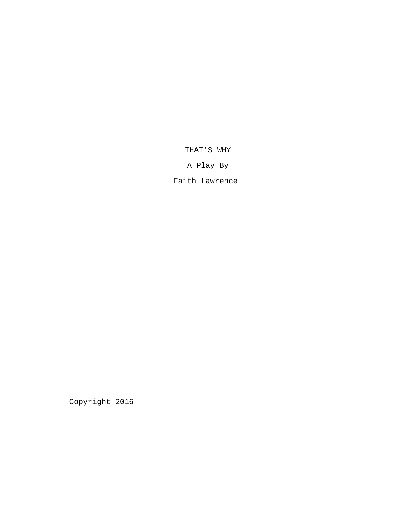THAT'S WHY

A Play By

Faith Lawrence

Copyright 2016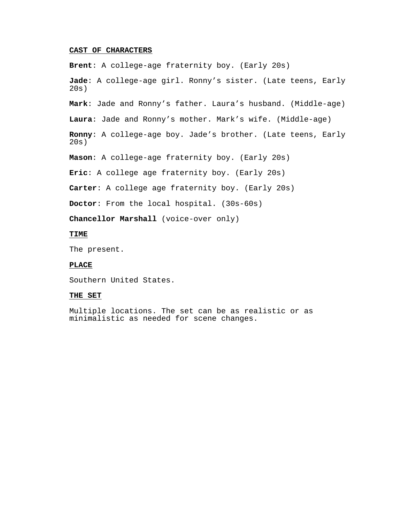# **CAST OF CHARACTERS**

**Brent**: A college-age fraternity boy. (Early 20s)

**Jade**: A college-age girl. Ronny's sister. (Late teens, Early 20s)

**Mark**: Jade and Ronny's father. Laura's husband. (Middle-age)

**Laura**: Jade and Ronny's mother. Mark's wife. (Middle-age)

**Ronny**: A college-age boy. Jade's brother. (Late teens, Early 20s)

**Mason**: A college-age fraternity boy. (Early 20s)

**Eric**: A college age fraternity boy. (Early 20s)

**Carter**: A college age fraternity boy. (Early 20s)

**Doctor**: From the local hospital. (30s-60s)

**Chancellor Marshall** (voice-over only)

# **TIME**

The present.

# **PLACE**

Southern United States.

## **THE SET**

Multiple locations. The set can be as realistic or as minimalistic as needed for scene changes.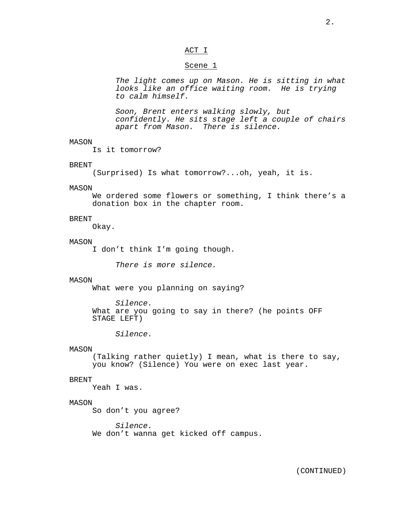## ACT I

#### Scene 1

*The light comes up on Mason. He is sitting in what looks like an office waiting room. He is trying to calm himself.*

*Soon, Brent enters walking slowly, but confidently. He sits stage left a couple of chairs apart from Mason. There is silence.*

## MASON

Is it tomorrow?

## BRENT

(Surprised) Is what tomorrow?...oh, yeah, it is.

#### MASON

We ordered some flowers or something, I think there's a donation box in the chapter room.

## **BRENT**

Okay.

#### MASON

I don't think I'm going though.

*There is more silence.*

## MASON

What were you planning on saying?

*Silence.*

What are you going to say in there? (he points OFF STAGE LEFT)

*Silence.*

## MASON

(Talking rather quietly) I mean, what is there to say, you know? (Silence) You were on exec last year.

#### BRENT

Yeah I was.

## MASON

So don't you agree?

*Silence.* We don't wanna get kicked off campus.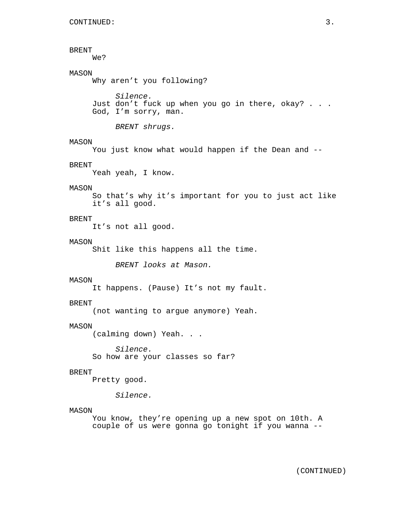# BRENT

We?

# MASON

Why aren't you following?

*Silence.* Just don't fuck up when you go in there, okay? . . . God, I'm sorry, man.

*BRENT shrugs.*

## MASON

You just know what would happen if the Dean and --

## BRENT

Yeah yeah, I know.

## MASON

So that's why it's important for you to just act like it's all good.

## **BRENT**

It's not all good.

#### MASON

Shit like this happens all the time.

*BRENT looks at Mason.*

#### MASON

It happens. (Pause) It's not my fault.

## BRENT

(not wanting to argue anymore) Yeah.

#### MASON

(calming down) Yeah. . .

*Silence.* So how are your classes so far?

#### BRENT

Pretty good.

*Silence.*

#### MASON

You know, they're opening up a new spot on 10th. A couple of us were gonna go tonight if you wanna --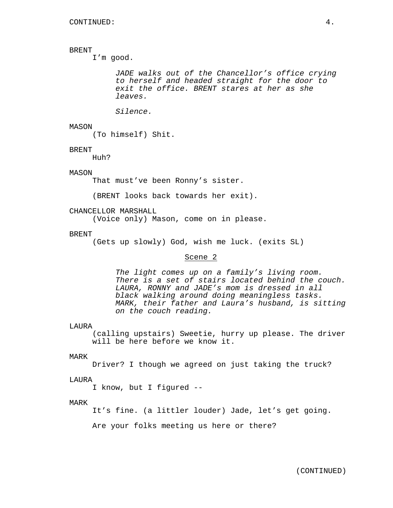# BRENT

I'm good.

*JADE walks out of the Chancellor's office crying to herself and headed straight for the door to exit the office. BRENT stares at her as she leaves.*

*Silence.*

## MASON

(To himself) Shit.

#### BRENT

Huh?

## MASON

That must've been Ronny's sister.

(BRENT looks back towards her exit).

## CHANCELLOR MARSHALL

(Voice only) Mason, come on in please.

## **BRENT**

(Gets up slowly) God, wish me luck. (exits SL)

# Scene 2

*The light comes up on a family's living room. There is a set of stairs located behind the couch. LAURA, RONNY and JADE's mom is dressed in all black walking around doing meaningless tasks. MARK, their father and Laura's husband, is sitting on the couch reading.*

#### LAURA

(calling upstairs) Sweetie, hurry up please. The driver will be here before we know it.

## MARK

Driver? I though we agreed on just taking the truck?

#### LAURA

I know, but I figured --

#### MARK

It's fine. (a littler louder) Jade, let's get going.

Are your folks meeting us here or there?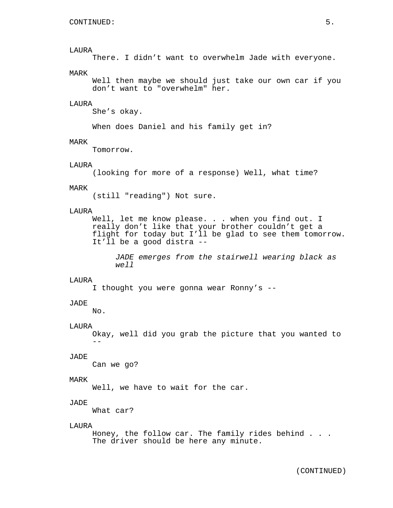## LAURA

There. I didn't want to overwhelm Jade with everyone.

## MARK

Well then maybe we should just take our own car if you don't want to "overwhelm" her.

## LAURA

She's okay.

When does Daniel and his family get in?

# MARK

Tomorrow.

# **LAURA**

(looking for more of a response) Well, what time?

#### MARK

(still "reading") Not sure.

#### LAURA

Well, let me know please. . . when you find out. I really don't like that your brother couldn't get a flight for today but I'll be glad to see them tomorrow. It'll be a good distra --

*JADE emerges from the stairwell wearing black as well*

#### LAURA

I thought you were gonna wear Ronny's --

## JADE

No.

## LAURA

Okay, well did you grab the picture that you wanted to  $-$ 

## JADE

Can we go?

#### MARK

Well, we have to wait for the car.

#### JADE

What car?

#### LAURA

Honey, the follow car. The family rides behind . . . The driver should be here any minute.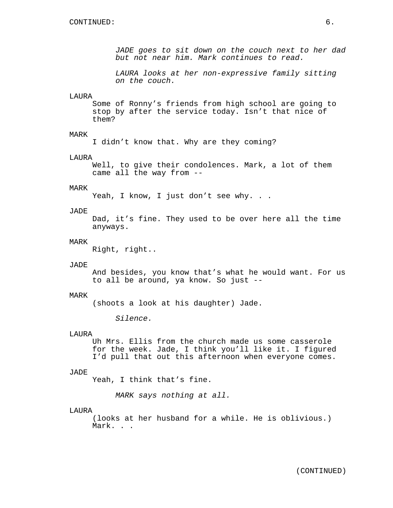*JADE goes to sit down on the couch next to her dad but not near him. Mark continues to read.*

*LAURA looks at her non-expressive family sitting on the couch.*

## LAURA

Some of Ronny's friends from high school are going to stop by after the service today. Isn't that nice of them?

## MARK

I didn't know that. Why are they coming?

#### LAURA

Well, to give their condolences. Mark, a lot of them came all the way from --

## MARK

Yeah, I know, I just don't see why. . .

#### JADE

Dad, it's fine. They used to be over here all the time anyways.

#### MARK

Right, right..

#### JADE

And besides, you know that's what he would want. For us to all be around, ya know. So just --

#### MARK

(shoots a look at his daughter) Jade.

*Silence.*

#### **LAURA**

Uh Mrs. Ellis from the church made us some casserole for the week. Jade, I think you'll like it. I figured I'd pull that out this afternoon when everyone comes.

#### JADE

Yeah, I think that's fine.

*MARK says nothing at all.*

#### LAURA

(looks at her husband for a while. He is oblivious.) Mark. . .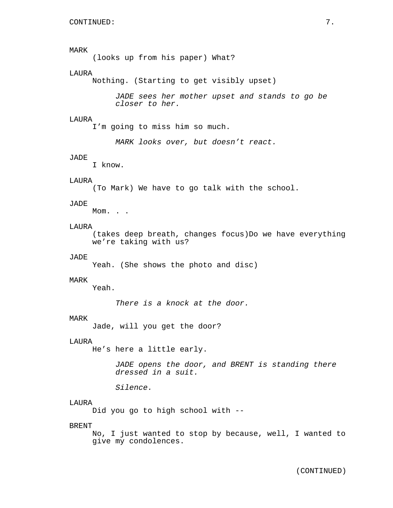# MARK

(looks up from his paper) What?

## LAURA

Nothing. (Starting to get visibly upset)

*JADE sees her mother upset and stands to go be closer to her.*

## LAURA

I'm going to miss him so much.

*MARK looks over, but doesn't react.*

#### JADE

I know.

## LAURA

(To Mark) We have to go talk with the school.

#### JADE

Mom. . .

#### LAURA

(takes deep breath, changes focus)Do we have everything we're taking with us?

## JADE

Yeah. (She shows the photo and disc)

## MARK

Yeah.

*There is a knock at the door.*

#### MARK

Jade, will you get the door?

## LAURA

He's here a little early.

*JADE opens the door, and BRENT is standing there dressed in a suit.*

*Silence.*

#### LAURA

Did you go to high school with --

#### BRENT

No, I just wanted to stop by because, well, I wanted to give my condolences.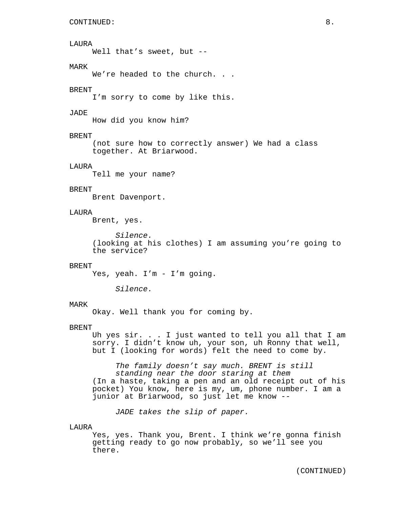#### LAURA

Well that's sweet, but --

# MARK

We're headed to the church. . .

## BRENT

I'm sorry to come by like this.

# JADE

How did you know him?

## BRENT

(not sure how to correctly answer) We had a class together. At Briarwood.

# **LAURA**

Tell me your name?

# BRENT

Brent Davenport.

## LAURA

Brent, yes.

*Silence.* (looking at his clothes) I am assuming you're going to the service?

## BRENT

Yes, yeah. I'm - I'm going.

*Silence.*

#### MARK

Okay. Well thank you for coming by.

# BRENT

Uh yes sir. . . I just wanted to tell you all that I am sorry. I didn't know uh, your son, uh Ronny that well, but I (looking for words) felt the need to come by.

*The family doesn't say much. BRENT is still standing near the door staring at them* (In a haste, taking a pen and an old receipt out of his pocket) You know, here is my, um, phone number. I am a junior at Briarwood, so just let me know --

*JADE takes the slip of paper.*

# LAURA

Yes, yes. Thank you, Brent. I think we're gonna finish getting ready to go now probably, so we'll see you there.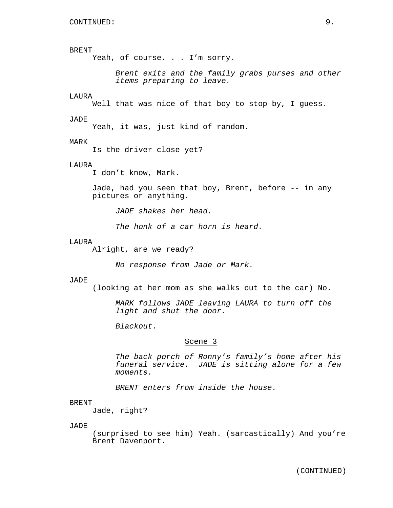# BRENT

Yeah, of course. . . I'm sorry.

*Brent exits and the family grabs purses and other items preparing to leave.*

#### LAURA

Well that was nice of that boy to stop by, I guess.

#### JADE

Yeah, it was, just kind of random.

## MARK

Is the driver close yet?

## LAURA

I don't know, Mark.

Jade, had you seen that boy, Brent, before -- in any pictures or anything.

*JADE shakes her head.*

*The honk of a car horn is heard.*

#### LAURA

Alright, are we ready?

*No response from Jade or Mark.*

#### JADE

(looking at her mom as she walks out to the car) No.

*MARK follows JADE leaving LAURA to turn off the light and shut the door.*

*Blackout.*

## Scene 3

*The back porch of Ronny's family's home after his funeral service. JADE is sitting alone for a few moments.*

*BRENT enters from inside the house.*

#### BRENT

Jade, right?

JADE

(surprised to see him) Yeah. (sarcastically) And you're Brent Davenport.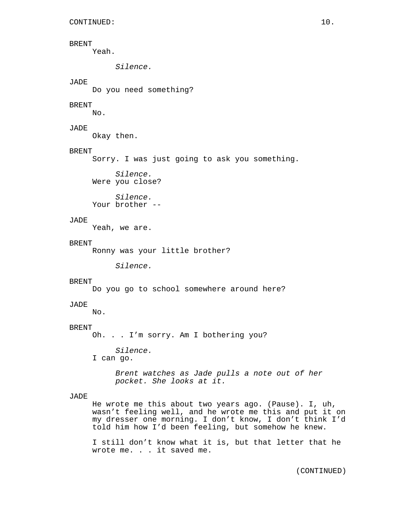## BRENT

Yeah.

*Silence.*

## JADE

Do you need something?

## BRENT

No.

# JADE

Okay then.

## **BRENT**

Sorry. I was just going to ask you something.

*Silence.* Were you close?

*Silence.* Your brother --

# JADE

Yeah, we are.

## BRENT

Ronny was your little brother?

*Silence.*

## **BRENT**

Do you go to school somewhere around here?

#### JADE

No.

# BRENT

Oh. . . I'm sorry. Am I bothering you?

*Silence.*

I can go.

*Brent watches as Jade pulls a note out of her pocket. She looks at it.*

## JADE

He wrote me this about two years ago. (Pause). I, uh, wasn't feeling well, and he wrote me this and put it on my dresser one morning. I don't know, I don't think I'd told him how I'd been feeling, but somehow he knew.

I still don't know what it is, but that letter that he wrote me. . . it saved me.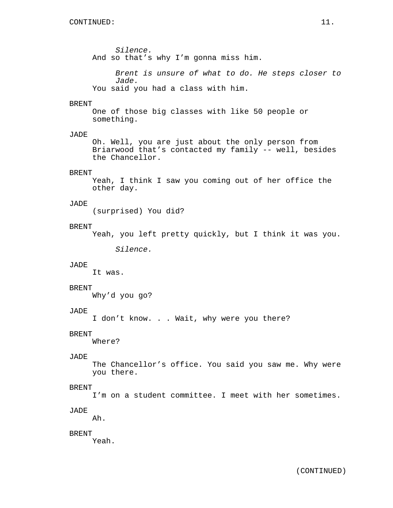*Silence.* And so that's why I'm gonna miss him.

*Brent is unsure of what to do. He steps closer to Jade.* You said you had a class with him.

## BRENT

One of those big classes with like 50 people or something.

## JADE

Oh. Well, you are just about the only person from Briarwood that's contacted my family -- well, besides the Chancellor.

## BRENT

Yeah, I think I saw you coming out of her office the other day.

## JADE

(surprised) You did?

# BRENT

Yeah, you left pretty quickly, but I think it was you.

*Silence.*

#### JADE

It was.

#### BRENT

Why'd you go?

# JADE

I don't know. . . Wait, why were you there?

## BRENT

Where?

## JADE

The Chancellor's office. You said you saw me. Why were you there.

## BRENT

I'm on a student committee. I meet with her sometimes.

## JADE

Ah.

## BRENT

Yeah.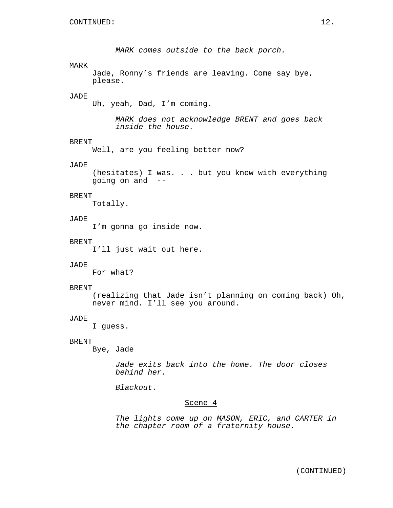*MARK comes outside to the back porch.* MARK Jade, Ronny's friends are leaving. Come say bye, please. JADE Uh, yeah, Dad, I'm coming. *MARK does not acknowledge BRENT and goes back inside the house.* BRENT Well, are you feeling better now? JADE (hesitates) I was. . . but you know with everything going on and -- BRENT Totally. JADE I'm gonna go inside now. BRENT I'll just wait out here. JADE For what? BRENT

(realizing that Jade isn't planning on coming back) Oh, never mind. I'll see you around.

#### JADE

I guess.

## BRENT

Bye, Jade

*Jade exits back into the home. The door closes behind her.*

*Blackout.*

## Scene 4

*The lights come up on MASON, ERIC, and CARTER in the chapter room of a fraternity house.*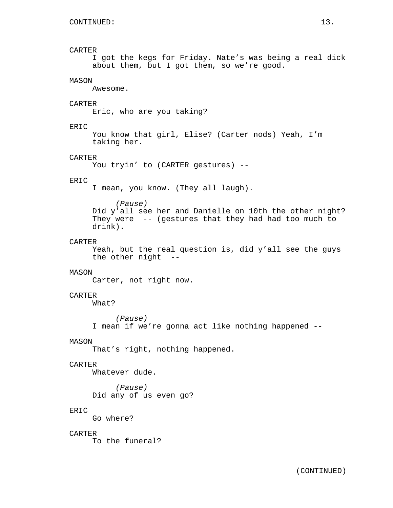# CARTER

I got the kegs for Friday. Nate's was being a real dick about them, but I got them, so we're good.

# MASON

Awesome.

## **CARTER**

Eric, who are you taking?

## ERIC

You know that girl, Elise? (Carter nods) Yeah, I'm taking her.

#### CARTER

You tryin' to (CARTER gestures) --

## ERIC

I mean, you know. (They all laugh).

#### *(Pause)*

Did y'all see her and Danielle on 10th the other night? They were -- (gestures that they had had too much to drink).

#### CARTER

Yeah, but the real question is, did y'all see the guys the other night --

## MASON

Carter, not right now.

# CARTER

What?

*(Pause)* I mean if we're gonna act like nothing happened --

## MASON

That's right, nothing happened.

## **CARTER**

Whatever dude.

*(Pause)* Did any of us even go?

## ERIC

Go where?

## CARTER

To the funeral?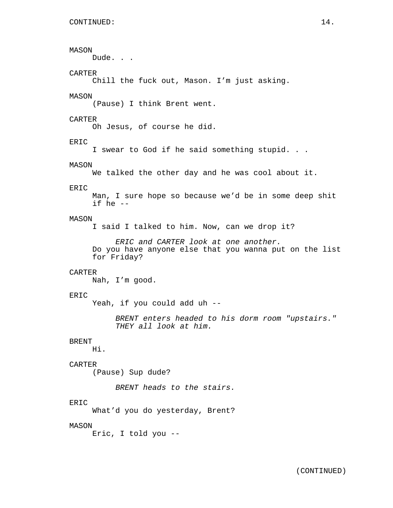MASON Dude. . . CARTER Chill the fuck out, Mason. I'm just asking. MASON (Pause) I think Brent went. CARTER Oh Jesus, of course he did. ERIC I swear to God if he said something stupid. . . MASON We talked the other day and he was cool about it. ERIC Man, I sure hope so because we'd be in some deep shit if he -- MASON I said I talked to him. Now, can we drop it? *ERIC and CARTER look at one another.* Do you have anyone else that you wanna put on the list for Friday? CARTER Nah, I'm good. ERIC Yeah, if you could add uh -- *BRENT enters headed to his dorm room "upstairs." THEY all look at him.* BRENT Hi. CARTER (Pause) Sup dude? *BRENT heads to the stairs.* ERIC What'd you do yesterday, Brent? MASON Eric, I told you --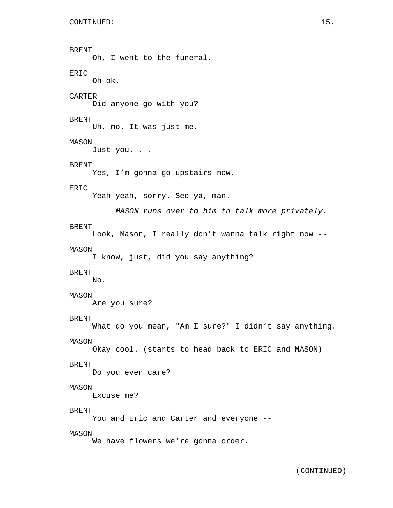```
BRENT
     Oh, I went to the funeral.
ERIC
     Oh ok.
CARTER
     Did anyone go with you?
BRENT
    Uh, no. It was just me.
MASON
    Just you. . .
BRENT
     Yes, I'm gonna go upstairs now.
ERIC
     Yeah yeah, sorry. See ya, man.
          MASON runs over to him to talk more privately.
BRENT
     Look, Mason, I really don't wanna talk right now --
MASON
     I know, just, did you say anything?
BRENT
     No.
MASON
     Are you sure?
BRENT
    What do you mean, "Am I sure?" I didn't say anything.
MASON
     Okay cool. (starts to head back to ERIC and MASON)
BRENT
    Do you even care?
MASON
     Excuse me?
BRENT
     You and Eric and Carter and everyone --
MASON
     We have flowers we're gonna order.
```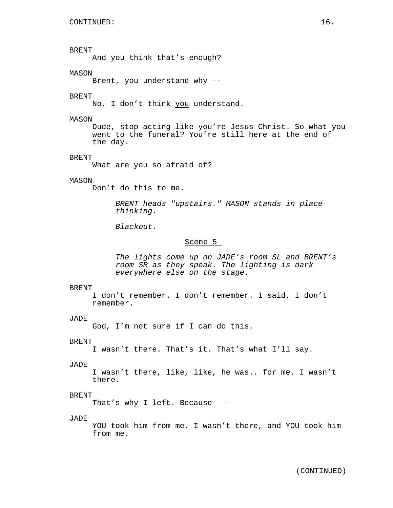BRENT And you think that's enough? MASON Brent, you understand why -- BRENT No, I don't think you understand. MASON Dude, stop acting like you're Jesus Christ. So what you went to the funeral? You're still here at the end of the day. BRENT What are you so afraid of? MASON Don't do this to me. *BRENT heads "upstairs." MASON stands in place thinking. Blackout.* Scene 5 *The lights come up on JADE's room SL and BRENT's room SR as they speak. The lighting is dark everywhere else on the stage.* BRENT I don't remember. I don't remember. I said, I don't remember. JADE God, I'm not sure if I can do this. BRENT I wasn't there. That's it. That's what I'll say. JADE I wasn't there, like, like, he was.. for me. I wasn't there. BRENT That's why I left. Because -- JADE YOU took him from me. I wasn't there, and YOU took him from me.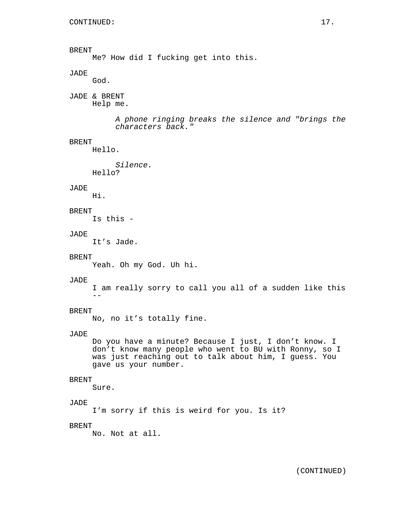BRENT Me? How did I fucking get into this. JADE God. JADE & BRENT Help me. *A phone ringing breaks the silence and "brings the characters back."* BRENT Hello. *Silence.* Hello? JADE Hi. BRENT Is this - JADE It's Jade. BRENT Yeah. Oh my God. Uh hi. JADE I am really sorry to call you all of a sudden like this  $-$ BRENT No, no it's totally fine. JADE Do you have a minute? Because I just, I don't know. I don't know many people who went to BU with Ronny, so I was just reaching out to talk about him, I guess. You gave us your number. BRENT Sure. JADE I'm sorry if this is weird for you. Is it? BRENT No. Not at all.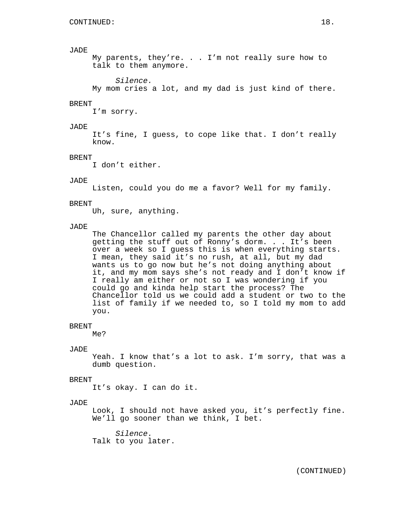My parents, they're. . . I'm not really sure how to talk to them anymore.

*Silence.*

My mom cries a lot, and my dad is just kind of there.

## BRENT

I'm sorry.

## JADE

It's fine, I guess, to cope like that. I don't really know.

#### BRENT

I don't either.

#### JADE

Listen, could you do me a favor? Well for my family.

#### BRENT

Uh, sure, anything.

#### JADE

The Chancellor called my parents the other day about getting the stuff out of Ronny's dorm. . . It's been over a week so I guess this is when everything starts. I mean, they said it's no rush, at all, but my dad wants us to go now but he's not doing anything about it, and my mom says she's not ready and I don't know if I really am either or not so I was wondering if you could go and kinda help start the process? The Chancellor told us we could add a student or two to the list of family if we needed to, so I told my mom to add you.

#### BRENT

Me?

## JADE

Yeah. I know that's a lot to ask. I'm sorry, that was a dumb question.

#### BRENT

It's okay. I can do it.

#### JADE

Look, I should not have asked you, it's perfectly fine. We'll go sooner than we think, I bet.

*Silence.* Talk to you later.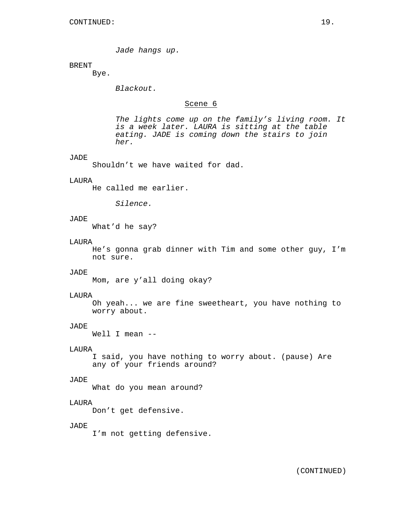*Jade hangs up.*

## BRENT

Bye.

*Blackout.*

# Scene 6

*The lights come up on the family's living room. It is a week later. LAURA is sitting at the table eating. JADE is coming down the stairs to join her.*

#### JADE

Shouldn't we have waited for dad.

#### LAURA

He called me earlier.

*Silence.*

# JADE

What'd he say?

#### LAURA

He's gonna grab dinner with Tim and some other guy, I'm not sure.

## JADE

Mom, are y'all doing okay?

## LAURA

Oh yeah... we are fine sweetheart, you have nothing to worry about.

## JADE

Well I mean --

## LAURA

I said, you have nothing to worry about. (pause) Are any of your friends around?

## JADE

What do you mean around?

# LAURA

Don't get defensive.

# JADE

I'm not getting defensive.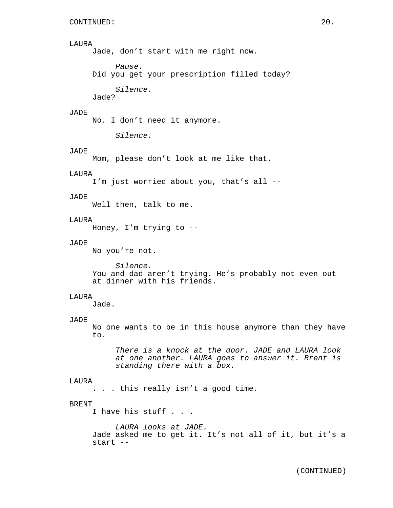## LAURA

Jade, don't start with me right now.

*Pause.* Did you get your prescription filled today?

*Silence.*

Jade?

# JADE

No. I don't need it anymore.

*Silence.*

## JADE

Mom, please don't look at me like that.

#### LAURA

I'm just worried about you, that's all --

#### JADE

Well then, talk to me.

## LAURA

Honey, I'm trying to --

# JADE

No you're not.

*Silence.* You and dad aren't trying. He's probably not even out at dinner with his friends.

#### LAURA

Jade.

#### JADE

No one wants to be in this house anymore than they have to.

*There is a knock at the door. JADE and LAURA look at one another. LAURA goes to answer it. Brent is standing there with a box.*

#### LAURA

. . . this really isn't a good time.

## BRENT

I have his stuff . . .

*LAURA looks at JADE.* Jade asked me to get it. It's not all of it, but it's a start --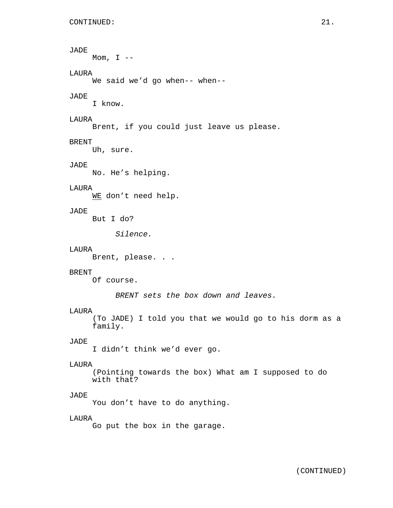Mom,  $I$  --

# LAURA

We said we'd go when-- when--

# JADE

I know.

# LAURA

Brent, if you could just leave us please.

## BRENT

Uh, sure.

# JADE

No. He's helping.

# LAURA

WE don't need help.

# JADE

But I do?

*Silence.*

## LAURA

Brent, please. . .

#### BRENT

Of course.

*BRENT sets the box down and leaves.*

## LAURA

(To JADE) I told you that we would go to his dorm as a family.

## JADE

I didn't think we'd ever go.

## LAURA

(Pointing towards the box) What am I supposed to do with that?

## JADE

You don't have to do anything.

#### LAURA

Go put the box in the garage.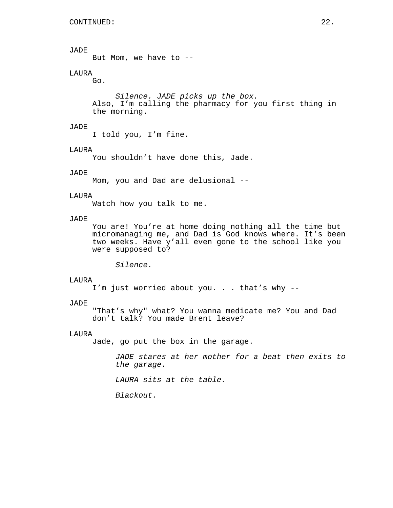But Mom, we have to --

# LAURA

Go.

*Silence. JADE picks up the box.* Also, I'm calling the pharmacy for you first thing in the morning.

## JADE

I told you, I'm fine.

#### LAURA

You shouldn't have done this, Jade.

## JADE

Mom, you and Dad are delusional --

#### LAURA

Watch how you talk to me.

## JADE

You are! You're at home doing nothing all the time but micromanaging me, and Dad is God knows where. It's been two weeks. Have y'all even gone to the school like you were supposed to?

*Silence.*

#### LAURA

I'm just worried about you. . . that's why --

## JADE

"That's why" what? You wanna medicate me? You and Dad don't talk? You made Brent leave?

## LAURA

Jade, go put the box in the garage.

*JADE stares at her mother for a beat then exits to the garage.*

*LAURA sits at the table.*

*Blackout.*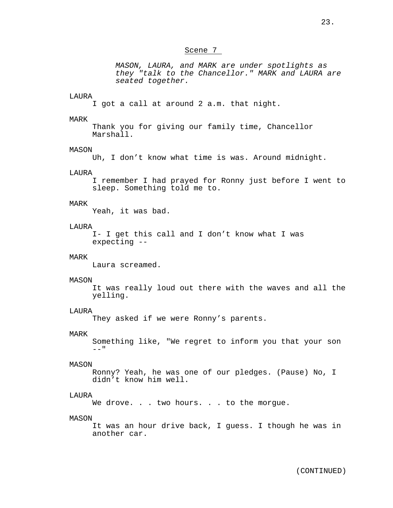## Scene 7

*MASON, LAURA, and MARK are under spotlights as they "talk to the Chancellor." MARK and LAURA are seated together.*

#### LAURA

I got a call at around 2 a.m. that night.

## MARK

Thank you for giving our family time, Chancellor Marshall.

#### MASON

Uh, I don't know what time is was. Around midnight.

## LAURA

I remember I had prayed for Ronny just before I went to sleep. Something told me to.

#### MARK

Yeah, it was bad.

## LAURA

I- I get this call and I don't know what I was expecting --

## MARK

Laura screamed.

#### MASON

It was really loud out there with the waves and all the yelling.

## LAURA

They asked if we were Ronny's parents.

#### MARK

Something like, "We regret to inform you that your son  $-$  "

#### MASON

Ronny? Yeah, he was one of our pledges. (Pause) No, I didn't know him well.

## LAURA

We drove. . . two hours. . . to the morgue.

#### MASON

It was an hour drive back, I guess. I though he was in another car.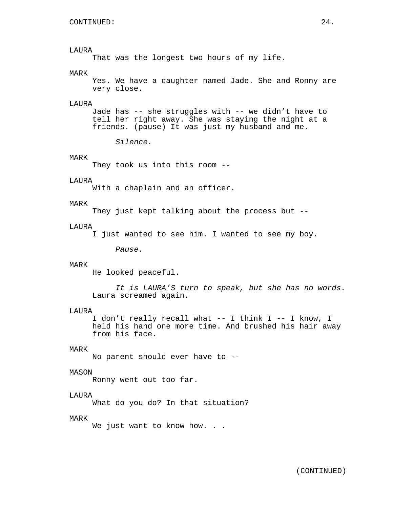## LAURA

That was the longest two hours of my life.

## MARK

Yes. We have a daughter named Jade. She and Ronny are very close.

#### LAURA

Jade has -- she struggles with -- we didn't have to tell her right away. She was staying the night at a friends. (pause) It was just my husband and me.

*Silence.*

#### MARK

They took us into this room --

#### LAURA

With a chaplain and an officer.

#### MARK

They just kept talking about the process but --

#### LAURA

I just wanted to see him. I wanted to see my boy.

*Pause.*

## MARK

He looked peaceful.

*It is LAURA'S turn to speak, but she has no words.* Laura screamed again.

#### LAURA

I don't really recall what -- I think I -- I know, I held his hand one more time. And brushed his hair away from his face.

## MARK

No parent should ever have to --

## MASON

Ronny went out too far.

# LAURA

What do you do? In that situation?

#### MARK

We just want to know how. . .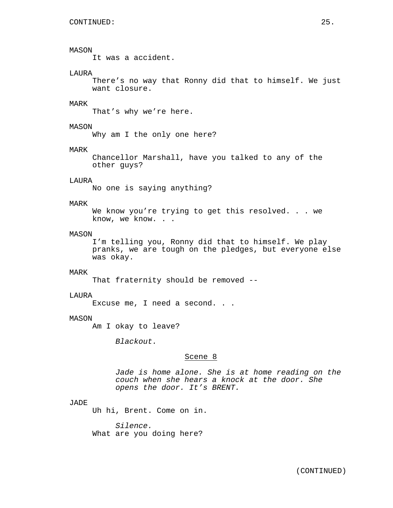## MASON

It was a accident.

## LAURA

There's no way that Ronny did that to himself. We just want closure.

## MARK

That's why we're here.

## MASON

Why am I the only one here?

#### MARK

Chancellor Marshall, have you talked to any of the other guys?

## LAURA

No one is saying anything?

#### MARK

We know you're trying to get this resolved. . . we know, we know. . .

## MASON

I'm telling you, Ronny did that to himself. We play pranks, we are tough on the pledges, but everyone else was okay.

#### MARK

That fraternity should be removed --

#### LAURA

Excuse me, I need a second. . .

## MASON

Am I okay to leave?

*Blackout.*

# Scene 8

*Jade is home alone. She is at home reading on the couch when she hears a knock at the door. She opens the door. It's BRENT.*

## JADE

Uh hi, Brent. Come on in.

*Silence.* What are you doing here?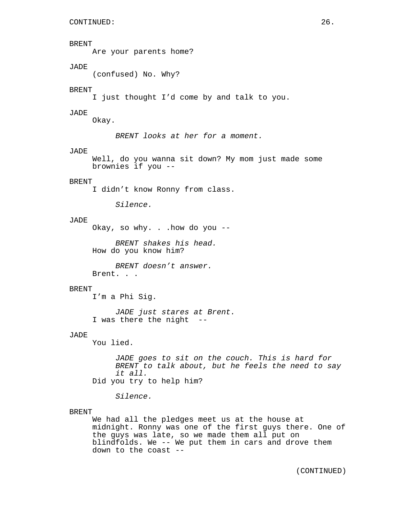## BRENT

Are your parents home?

# JADE

(confused) No. Why?

## BRENT

I just thought I'd come by and talk to you.

## JADE

Okay.

*BRENT looks at her for a moment.*

## JADE

Well, do you wanna sit down? My mom just made some brownies if you --

## BRENT

I didn't know Ronny from class.

*Silence.*

# JADE

Okay, so why. . .how do you --

*BRENT shakes his head.* How do you know him?

*BRENT doesn't answer.* Brent. . .

## BRENT

I'm a Phi Sig.

*JADE just stares at Brent.* I was there the night

# JADE

You lied.

*JADE goes to sit on the couch. This is hard for BRENT to talk about, but he feels the need to say it all.* Did you try to help him?

*Silence.*

#### BRENT

We had all the pledges meet us at the house at midnight. Ronny was one of the first guys there. One of the guys was late, so we made them all put on blindfolds. We -- We put them in cars and drove them down to the coast --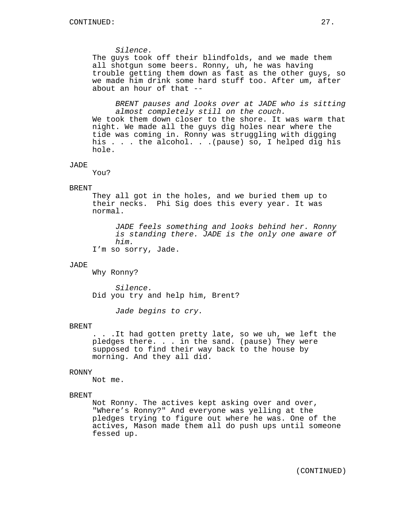*Silence.*

The guys took off their blindfolds, and we made them all shotgun some beers. Ronny, uh, he was having trouble getting them down as fast as the other guys, so we made him drink some hard stuff too. After um, after about an hour of that --

*BRENT pauses and looks over at JADE who is sitting almost completely still on the couch.* We took them down closer to the shore. It was warm that night. We made all the guys dig holes near where the tide was coming in. Ronny was struggling with digging his . . . the alcohol. . .(pause) so, I helped dig his hole.

JADE

You?

#### BRENT

They all got in the holes, and we buried them up to their necks. Phi Sig does this every year. It was normal.

*JADE feels something and looks behind her. Ronny is standing there. JADE is the only one aware of him.*

I'm so sorry, Jade.

#### JADE

Why Ronny?

*Silence.* Did you try and help him, Brent?

*Jade begins to cry.*

#### BRENT

. . .It had gotten pretty late, so we uh, we left the pledges there. . . in the sand. (pause) They were supposed to find their way back to the house by morning. And they all did.

#### RONNY

Not me.

## BRENT

Not Ronny. The actives kept asking over and over, "Where's Ronny?" And everyone was yelling at the pledges trying to figure out where he was. One of the actives, Mason made them all do push ups until someone fessed up.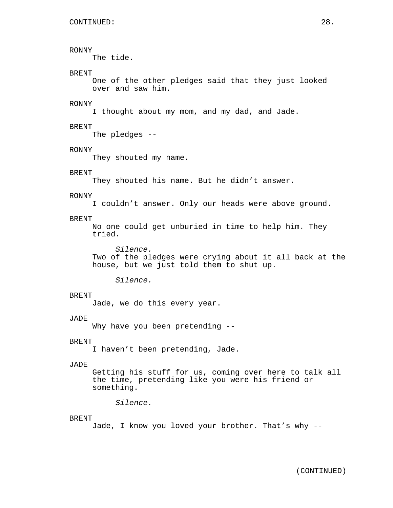## RONNY

The tide.

## **BRENT**

One of the other pledges said that they just looked over and saw him.

# RONNY

I thought about my mom, and my dad, and Jade.

## BRENT

The pledges --

#### RONNY

They shouted my name.

# BRENT

They shouted his name. But he didn't answer.

#### RONNY

I couldn't answer. Only our heads were above ground.

## BRENT

No one could get unburied in time to help him. They tried.

*Silence.* Two of the pledges were crying about it all back at the house, but we just told them to shut up.

*Silence.*

#### BRENT

Jade, we do this every year.

#### JADE

Why have you been pretending --

## BRENT

I haven't been pretending, Jade.

## JADE

Getting his stuff for us, coming over here to talk all the time, pretending like you were his friend or something.

*Silence.*

#### **BRENT**

Jade, I know you loved your brother. That's why --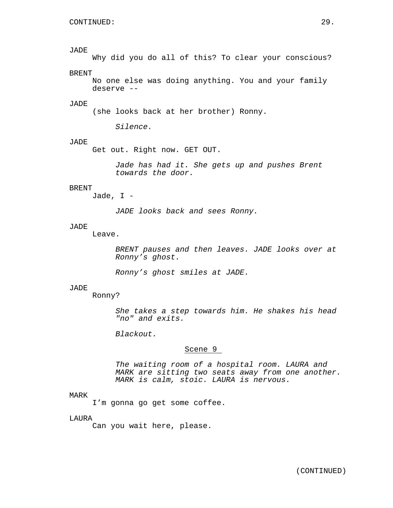Why did you do all of this? To clear your conscious?

# BRENT

No one else was doing anything. You and your family deserve --

# JADE

(she looks back at her brother) Ronny.

*Silence.*

## JADE

Get out. Right now. GET OUT.

*Jade has had it. She gets up and pushes Brent towards the door.*

## BRENT

Jade, I -

*JADE looks back and sees Ronny.*

## JADE

Leave.

*BRENT pauses and then leaves. JADE looks over at Ronny's ghost.*

*Ronny's ghost smiles at JADE.*

#### JADE

Ronny?

*She takes a step towards him. He shakes his head "no" and exits.*

*Blackout.*

# Scene 9

*The waiting room of a hospital room. LAURA and MARK are sitting two seats away from one another. MARK is calm, stoic. LAURA is nervous.*

## MARK

I'm gonna go get some coffee.

#### LAURA

Can you wait here, please.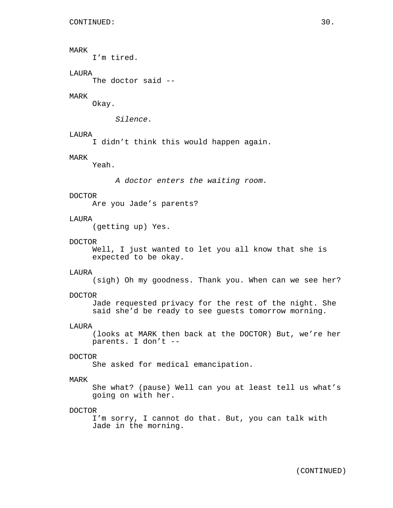# MARK

I'm tired.

# LAURA

The doctor said --

## MARK

Okay.

*Silence.*

## LAURA

I didn't think this would happen again.

## MARK

Yeah.

*A doctor enters the waiting room.*

# DOCTOR

Are you Jade's parents?

# LAURA

(getting up) Yes.

#### DOCTOR

Well, I just wanted to let you all know that she is expected to be okay.

#### LAURA

(sigh) Oh my goodness. Thank you. When can we see her?

#### DOCTOR

Jade requested privacy for the rest of the night. She said she'd be ready to see guests tomorrow morning.

## LAURA

(looks at MARK then back at the DOCTOR) But, we're her parents. I don't --

## DOCTOR

She asked for medical emancipation.

## MARK

She what? (pause) Well can you at least tell us what's going on with her.

#### DOCTOR

I'm sorry, I cannot do that. But, you can talk with Jade in the morning.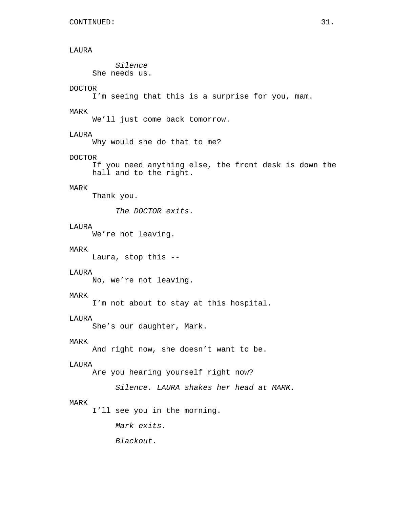# LAURA

*Silence* She needs us.

# DOCTOR

I'm seeing that this is a surprise for you, mam.

## MARK

We'll just come back tomorrow.

## LAURA

Why would she do that to me?

## DOCTOR

If you need anything else, the front desk is down the hall and to the right.

# MARK

Thank you.

*The DOCTOR exits.*

# LAURA

We're not leaving.

# MARK

Laura, stop this --

#### LAURA

No, we're not leaving.

## MARK

I'm not about to stay at this hospital.

## LAURA

She's our daughter, Mark.

## MARK

And right now, she doesn't want to be.

## LAURA

Are you hearing yourself right now?

*Silence. LAURA shakes her head at MARK.*

#### MARK

I'll see you in the morning.

*Mark exits.*

*Blackout.*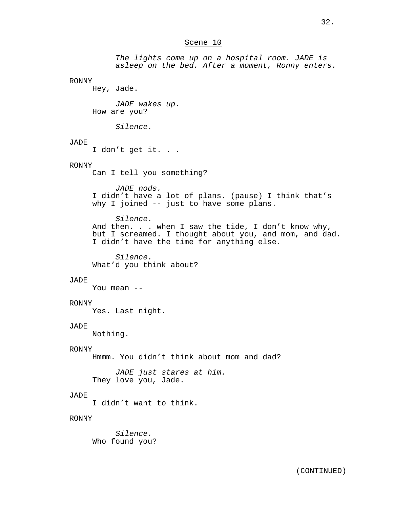## Scene 10

*The lights come up on a hospital room. JADE is asleep on the bed. After a moment, Ronny enters.*

## RONNY

Hey, Jade.

*JADE wakes up.* How are you?

*Silence.*

# JADE

I don't get it. . .

# RONNY

Can I tell you something?

# *JADE nods.*

I didn't have a lot of plans. (pause) I think that's why I joined -- just to have some plans.

*Silence.* And then. . . when I saw the tide, I don't know why, but I screamed. I thought about you, and mom, and dad. I didn't have the time for anything else.

*Silence.* What'd you think about?

#### JADE

You mean --

## RONNY

Yes. Last night.

## JADE

Nothing.

# RONNY

Hmmm. You didn't think about mom and dad?

*JADE just stares at him.* They love you, Jade.

## JADE

I didn't want to think.

## RONNY

*Silence.* Who found you?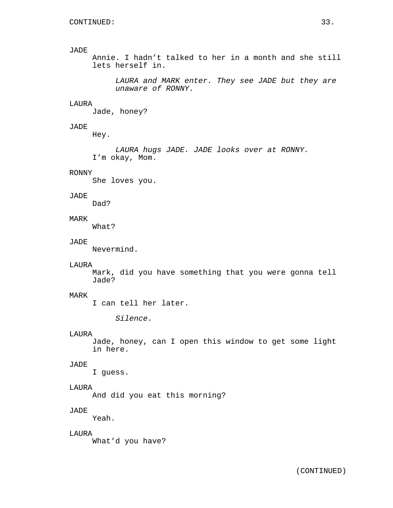Annie. I hadn't talked to her in a month and she still lets herself in.

*LAURA and MARK enter. They see JADE but they are unaware of RONNY.*

## LAURA

Jade, honey?

## JADE

Hey.

*LAURA hugs JADE. JADE looks over at RONNY.* I'm okay, Mom.

## RONNY

She loves you.

#### JADE

Dad?

# MARK

What?

## JADE

Nevermind.

#### LAURA

Mark, did you have something that you were gonna tell Jade?

## MARK

I can tell her later.

*Silence.*

#### LAURA

Jade, honey, can I open this window to get some light in here.

## JADE

I guess.

# LAURA

And did you eat this morning?

# JADE

Yeah.

# LAURA

What'd you have?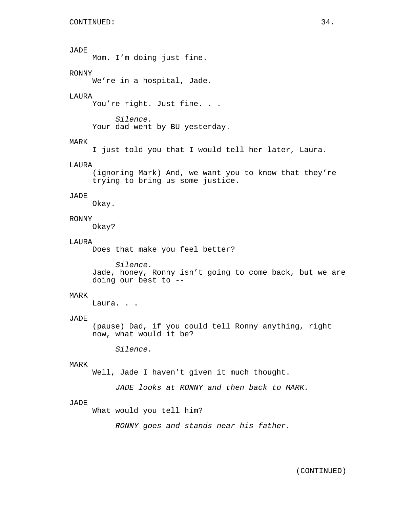Mom. I'm doing just fine.

# RONNY

We're in a hospital, Jade.

## LAURA

You're right. Just fine. . .

*Silence.* Your dad went by BU yesterday.

# MARK

I just told you that I would tell her later, Laura.

## LAURA

(ignoring Mark) And, we want you to know that they're trying to bring us some justice.

## JADE

Okay.

## RONNY

Okay?

#### LAURA

Does that make you feel better?

*Silence.* Jade, honey, Ronny isn't going to come back, but we are doing our best to --

## MARK

Laura. . .

#### JADE

(pause) Dad, if you could tell Ronny anything, right now, what would it be?

*Silence.*

## MARK

Well, Jade I haven't given it much thought.

*JADE looks at RONNY and then back to MARK.*

#### JADE

What would you tell him?

*RONNY goes and stands near his father.*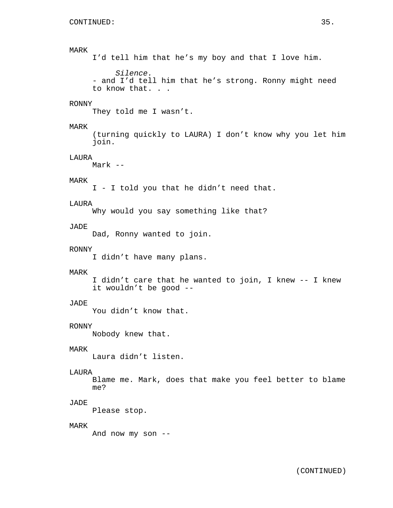# MARK I'd tell him that he's my boy and that I love him. *Silence.* - and I'd tell him that he's strong. Ronny might need to know that. . . RONNY They told me I wasn't. MARK (turning quickly to LAURA) I don't know why you let him join. LAURA Mark -- MARK I - I told you that he didn't need that. LAURA Why would you say something like that? JADE Dad, Ronny wanted to join. RONNY I didn't have many plans. MARK I didn't care that he wanted to join, I knew -- I knew it wouldn't be good -- JADE You didn't know that. RONNY Nobody knew that. MARK Laura didn't listen. LAURA Blame me. Mark, does that make you feel better to blame me? JADE Please stop. MARK And now my son --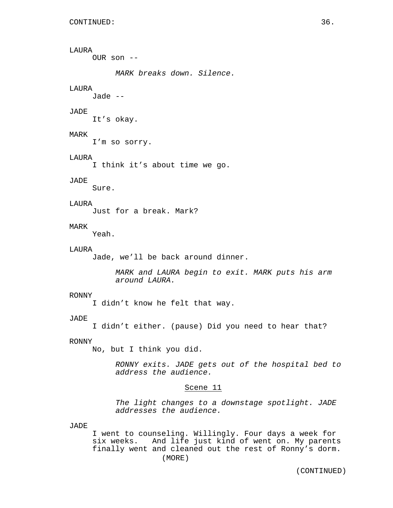LAURA OUR son -- *MARK breaks down. Silence.* LAURA Jade -- JADE It's okay. MARK I'm so sorry. LAURA I think it's about time we go. JADE Sure. **LAURA** Just for a break. Mark? MARK Yeah. LAURA Jade, we'll be back around dinner. *MARK and LAURA begin to exit. MARK puts his arm around LAURA.* RONNY I didn't know he felt that way. JADE I didn't either. (pause) Did you need to hear that? RONNY No, but I think you did. *RONNY exits. JADE gets out of the hospital bed to address the audience.* Scene 11 *The light changes to a downstage spotlight. JADE addresses the audience.* JADE

I went to counseling. Willingly. Four days a week for six weeks. And life just kind of went on. My parents finally went and cleaned out the rest of Ronny's dorm. (MORE)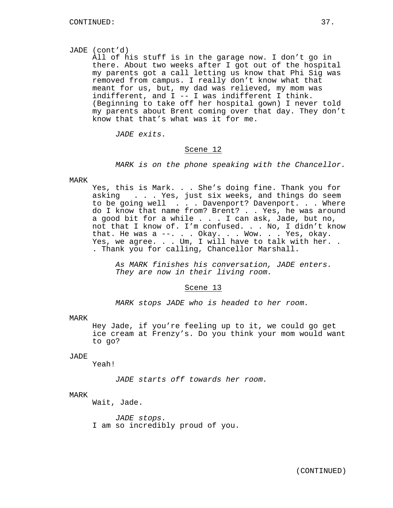## JADE (cont'd)

All of his stuff is in the garage now. I don't go in there. About two weeks after I got out of the hospital my parents got a call letting us know that Phi Sig was removed from campus. I really don't know what that meant for us, but, my dad was relieved, my mom was indifferent, and I -- I was indifferent I think. (Beginning to take off her hospital gown) I never told my parents about Brent coming over that day. They don't know that that's what was it for me.

*JADE exits.*

#### Scene 12

*MARK is on the phone speaking with the Chancellor.*

#### MARK

Yes, this is Mark. . . She's doing fine. Thank you for asking . . . Yes, just six weeks, and things do seem to be going well . . . Davenport? Davenport. . . Where do I know that name from? Brent? . . Yes, he was around a good bit for a while . . . I can ask, Jade, but no, not that I know of. I'm confused. . . No, I didn't know that. He was a --. . . Okay. . . Wow. . . Yes, okay. Yes, we agree. . . Um, I will have to talk with her. . . Thank you for calling, Chancellor Marshall.

*As MARK finishes his conversation, JADE enters. They are now in their living room.*

#### Scene 13

*MARK stops JADE who is headed to her room.*

MARK

Hey Jade, if you're feeling up to it, we could go get ice cream at Frenzy's. Do you think your mom would want to go?

# JADE

Yeah!

*JADE starts off towards her room.*

## MARK

Wait, Jade.

*JADE stops.* I am so incredibly proud of you.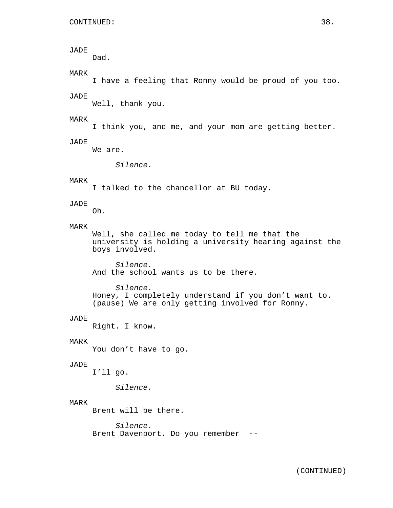# JADE Dad. MARK I have a feeling that Ronny would be proud of you too. JADE Well, thank you. MARK I think you, and me, and your mom are getting better. JADE We are. *Silence.* MARK I talked to the chancellor at BU today. JADE Oh. MARK Well, she called me today to tell me that the university is holding a university hearing against the boys involved. *Silence.* And the school wants us to be there. *Silence.* Honey, I completely understand if you don't want to. (pause) We are only getting involved for Ronny. JADE Right. I know. MARK You don't have to go. JADE I'll go. *Silence.* MARK Brent will be there. *Silence.* Brent Davenport. Do you remember --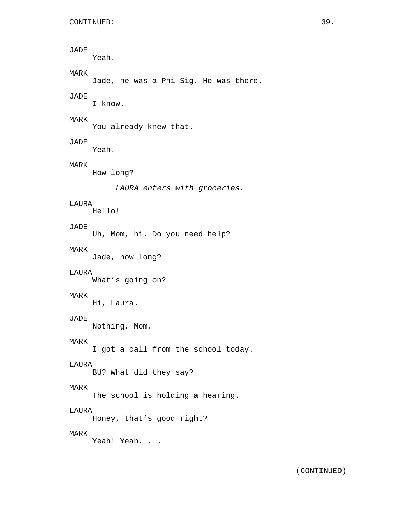```
JADE
     Yeah.
MARK
     Jade, he was a Phi Sig. He was there.
JADE
     I know.
MARK
     You already knew that.
JADE
    Yeah.
MARK
     How long?
          LAURA enters with groceries.
LAURA
    Hello!
JADE
     Uh, Mom, hi. Do you need help?
MARK
     Jade, how long?
LAURA
     What's going on?
MARK
    Hi, Laura.
JADE
    Nothing, Mom.
MARK
     I got a call from the school today.
LAURA
    BU? What did they say?
MARK
     The school is holding a hearing.
LAURA
     Honey, that's good right?
MARK
    Yeah! Yeah. . .
```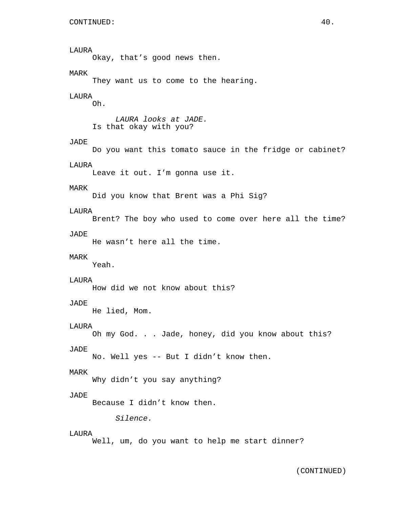# LAURA Okay, that's good news then. MARK They want us to come to the hearing. LAURA Oh. *LAURA looks at JADE.* Is that okay with you? JADE Do you want this tomato sauce in the fridge or cabinet? LAURA Leave it out. I'm gonna use it. MARK Did you know that Brent was a Phi Sig? LAURA Brent? The boy who used to come over here all the time? JADE He wasn't here all the time. MARK Yeah. **LAURA** How did we not know about this? JADE He lied, Mom. LAURA Oh my God. . . Jade, honey, did you know about this? JADE No. Well yes -- But I didn't know then. MARK Why didn't you say anything? JADE Because I didn't know then. *Silence.* LAURA Well, um, do you want to help me start dinner?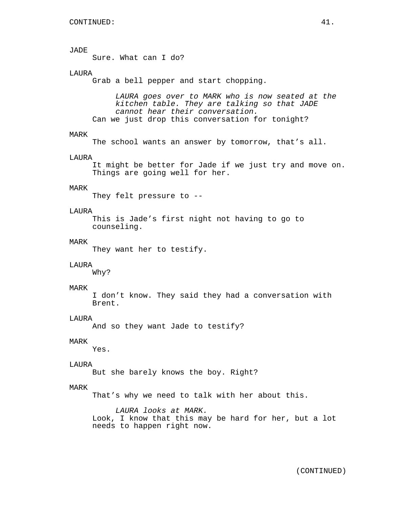Sure. What can I do?

## LAURA

Grab a bell pepper and start chopping.

*LAURA goes over to MARK who is now seated at the kitchen table. They are talking so that JADE cannot hear their conversation.* Can we just drop this conversation for tonight?

## MARK

The school wants an answer by tomorrow, that's all.

#### LAURA

It might be better for Jade if we just try and move on. Things are going well for her.

## MARK

They felt pressure to --

#### LAURA

This is Jade's first night not having to go to counseling.

#### MARK

They want her to testify.

#### LAURA

Why?

#### MARK

I don't know. They said they had a conversation with Brent.

#### LAURA

And so they want Jade to testify?

## MARK

Yes.

## LAURA

But she barely knows the boy. Right?

## MARK

That's why we need to talk with her about this.

*LAURA looks at MARK.* Look, I know that this may be hard for her, but a lot needs to happen right now.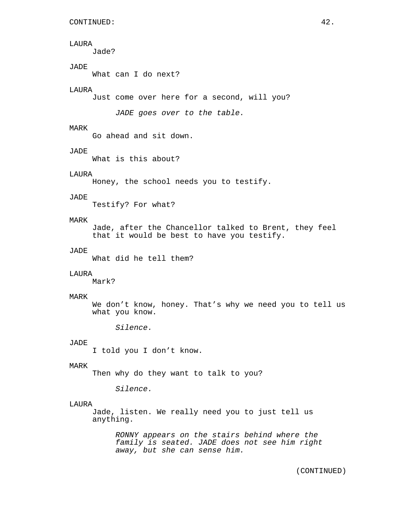## LAURA

Jade?

# JADE

What can I do next?

## LAURA

Just come over here for a second, will you?

*JADE goes over to the table.*

## MARK

Go ahead and sit down.

## JADE

What is this about?

## LAURA

Honey, the school needs you to testify.

# JADE

Testify? For what?

# MARK

Jade, after the Chancellor talked to Brent, they feel that it would be best to have you testify.

# JADE

What did he tell them?

#### LAURA

Mark?

#### MARK

We don't know, honey. That's why we need you to tell us what you know.

*Silence.*

## JADE

I told you I don't know.

#### MARK

Then why do they want to talk to you?

*Silence.*

#### LAURA

Jade, listen. We really need you to just tell us anything.

*RONNY appears on the stairs behind where the family is seated. JADE does not see him right away, but she can sense him.*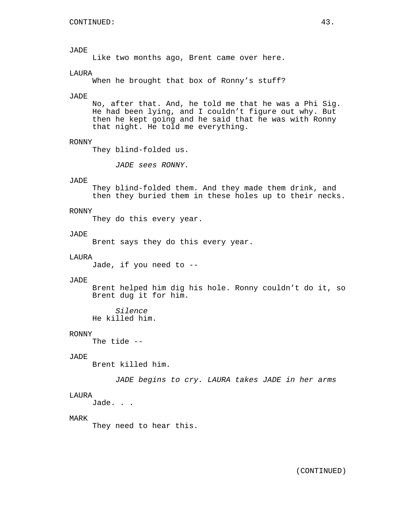Like two months ago, Brent came over here.

## LAURA

When he brought that box of Ronny's stuff?

#### JADE

No, after that. And, he told me that he was a Phi Sig. He had been lying, and I couldn't figure out why. But then he kept going and he said that he was with Ronny that night. He told me everything.

## RONNY

They blind-folded us.

*JADE sees RONNY.*

## JADE

They blind-folded them. And they made them drink, and then they buried them in these holes up to their necks.

#### RONNY

They do this every year.

#### **JADE**

Brent says they do this every year.

## LAURA

Jade, if you need to --

#### JADE

Brent helped him dig his hole. Ronny couldn't do it, so Brent dug it for him.

*Silence* He killed him.

## RONNY

The tide --

## JADE

Brent killed him.

*JADE begins to cry. LAURA takes JADE in her arms*

## LAURA

Jade. . .

#### MARK

They need to hear this.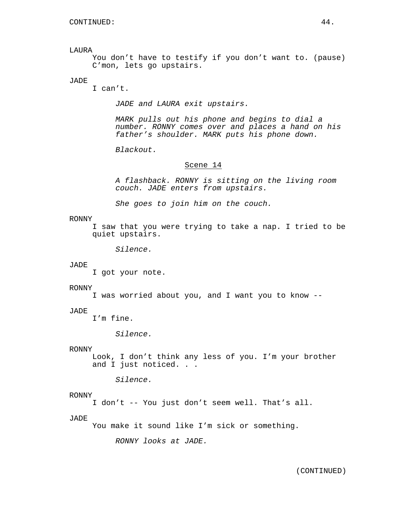LAURA

You don't have to testify if you don't want to. (pause) C'mon, lets go upstairs.

## JADE

I can't.

*JADE and LAURA exit upstairs.*

*MARK pulls out his phone and begins to dial a number. RONNY comes over and places a hand on his father's shoulder. MARK puts his phone down.*

*Blackout.*

## Scene 14

*A flashback. RONNY is sitting on the living room couch. JADE enters from upstairs.*

*She goes to join him on the couch.*

#### RONNY

I saw that you were trying to take a nap. I tried to be quiet upstairs.

*Silence.*

#### JADE

I got your note.

#### RONNY

I was worried about you, and I want you to know --

#### JADE

I'm fine.

*Silence.*

## RONNY

Look, I don't think any less of you. I'm your brother and I just noticed. . .

*Silence.*

## RONNY

I don't -- You just don't seem well. That's all.

#### JADE

You make it sound like I'm sick or something.

*RONNY looks at JADE.*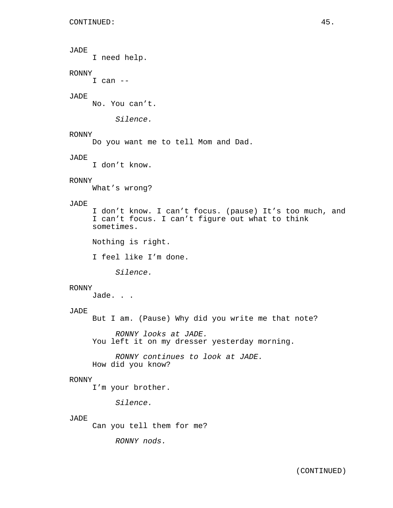I need help.

## RONNY

 $I$  can  $-$ 

## JADE

No. You can't.

*Silence.*

## RONNY

Do you want me to tell Mom and Dad.

## JADE

I don't know.

# RONNY

What's wrong?

# JADE

I don't know. I can't focus. (pause) It's too much, and I can't focus. I can't figure out what to think sometimes.

Nothing is right.

I feel like I'm done.

*Silence.*

## RONNY

Jade. . .

# JADE

But I am. (Pause) Why did you write me that note?

*RONNY looks at JADE.* You left it on my dresser yesterday morning.

*RONNY continues to look at JADE.* How did you know?

## RONNY

I'm your brother.

*Silence.*

#### JADE

Can you tell them for me?

*RONNY nods.*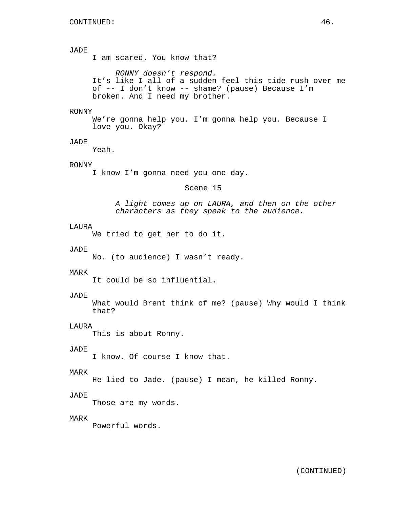I am scared. You know that?

*RONNY doesn't respond.* It's like I all of a sudden feel this tide rush over me of -- I don't know -- shame? (pause) Because I'm broken. And I need my brother.

#### RONNY

We're gonna help you. I'm gonna help you. Because I love you. Okay?

# JADE

Yeah.

# RONNY

I know I'm gonna need you one day.

## Scene 15

*A light comes up on LAURA, and then on the other characters as they speak to the audience.*

#### LAURA

We tried to get her to do it.

## JADE

No. (to audience) I wasn't ready.

## MARK

It could be so influential.

#### JADE

What would Brent think of me? (pause) Why would I think that?

#### LAURA

This is about Ronny.

## JADE

I know. Of course I know that.

#### MARK

He lied to Jade. (pause) I mean, he killed Ronny.

## JADE

Those are my words.

#### MARK

Powerful words.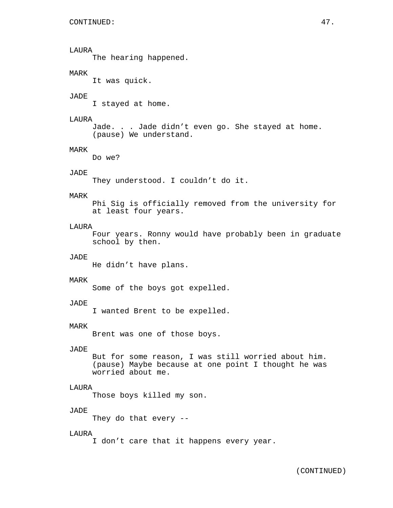# LAURA

The hearing happened.

# MARK

It was quick.

#### JADE

I stayed at home.

## LAURA

```
Jade. . . Jade didn't even go. She stayed at home.
(pause) We understand.
```
## MARK

Do we?

# JADE

They understood. I couldn't do it.

## MARK

Phi Sig is officially removed from the university for at least four years.

## LAURA

Four years. Ronny would have probably been in graduate school by then.

## JADE

He didn't have plans.

## MARK

Some of the boys got expelled.

## JADE

I wanted Brent to be expelled.

#### MARK

Brent was one of those boys.

## JADE

But for some reason, I was still worried about him. (pause) Maybe because at one point I thought he was worried about me.

## LAURA

Those boys killed my son.

## JADE

They do that every --

## LAURA

I don't care that it happens every year.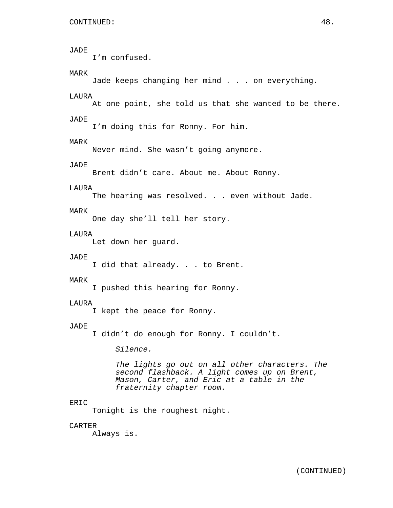```
JADE
     I'm confused.
MARK
     Jade keeps changing her mind . . . on everything.
LAURA
     At one point, she told us that she wanted to be there.
JADE
     I'm doing this for Ronny. For him.
MARK
     Never mind. She wasn't going anymore.
JADE
     Brent didn't care. About me. About Ronny.
LAURA
     The hearing was resolved. . . even without Jade.
MARK
     One day she'll tell her story.
LAURA
     Let down her guard.
JADE
     I did that already. . . to Brent.
MARK
     I pushed this hearing for Ronny.
LAURA
     I kept the peace for Ronny.
JADE
     I didn't do enough for Ronny. I couldn't.
          Silence.
          The lights go out on all other characters. The
          second flashback. A light comes up on Brent,
          Mason, Carter, and Eric at a table in the
          fraternity chapter room.
ERIC
     Tonight is the roughest night.
CARTER
```
Always is.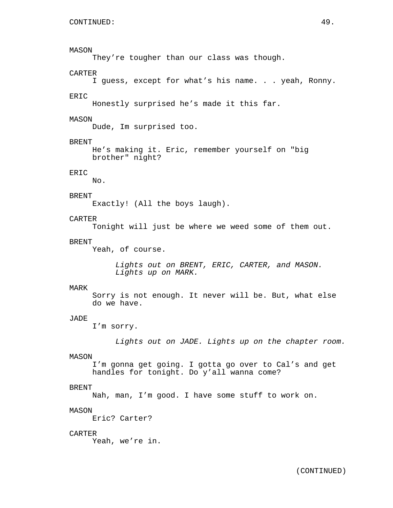## MASON

They're tougher than our class was though.

## CARTER

I guess, except for what's his name. . . yeah, Ronny.

## ERIC

Honestly surprised he's made it this far.

## MASON

Dude, Im surprised too.

## BRENT

He's making it. Eric, remember yourself on "big brother" night?

# ERIC

No.

# BRENT

Exactly! (All the boys laugh).

# CARTER

Tonight will just be where we weed some of them out.

#### BRENT

Yeah, of course.

*Lights out on BRENT, ERIC, CARTER, and MASON. Lights up on MARK.*

#### MARK

Sorry is not enough. It never will be. But, what else do we have.

## JADE

I'm sorry.

*Lights out on JADE. Lights up on the chapter room.*

#### MASON

I'm gonna get going. I gotta go over to Cal's and get handles for tonight. Do y'all wanna come?

## BRENT

Nah, man, I'm good. I have some stuff to work on.

## MASON

Eric? Carter?

## CARTER

Yeah, we're in.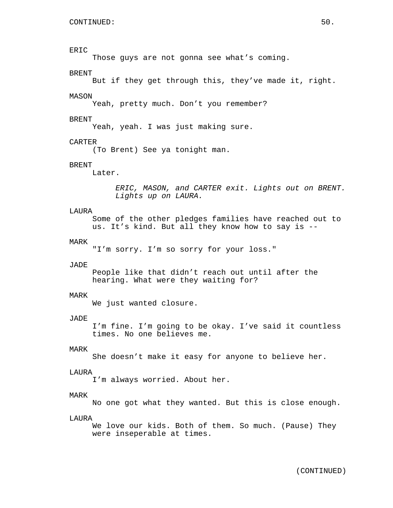## ERIC

Those guys are not gonna see what's coming.

## BRENT

But if they get through this, they've made it, right.

#### MASON

Yeah, pretty much. Don't you remember?

## BRENT

Yeah, yeah. I was just making sure.

## CARTER

(To Brent) See ya tonight man.

## BRENT

Later.

*ERIC, MASON, and CARTER exit. Lights out on BRENT. Lights up on LAURA.*

## LAURA

Some of the other pledges families have reached out to us. It's kind. But all they know how to say is --

#### MARK

"I'm sorry. I'm so sorry for your loss."

#### JADE

People like that didn't reach out until after the hearing. What were they waiting for?

#### MARK

We just wanted closure.

#### JADE

I'm fine. I'm going to be okay. I've said it countless times. No one believes me.

## MARK

She doesn't make it easy for anyone to believe her.

## LAURA

I'm always worried. About her.

## MARK

No one got what they wanted. But this is close enough.

#### **LAURA**

We love our kids. Both of them. So much. (Pause) They were inseperable at times.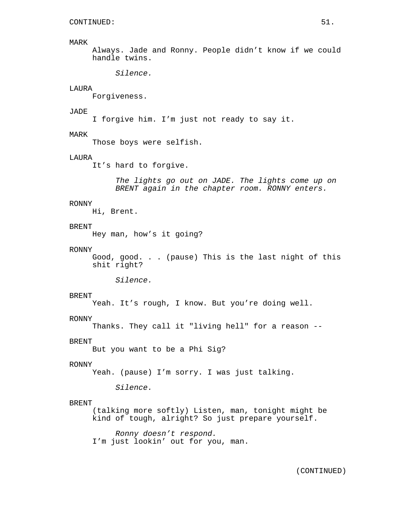#### MARK

Always. Jade and Ronny. People didn't know if we could handle twins.

*Silence.*

# LAURA

Forgiveness.

#### JADE

I forgive him. I'm just not ready to say it.

## MARK

Those boys were selfish.

## LAURA

It's hard to forgive.

*The lights go out on JADE. The lights come up on BRENT again in the chapter room. RONNY enters.*

#### RONNY

Hi, Brent.

## BRENT

Hey man, how's it going?

#### RONNY

Good, good. . . (pause) This is the last night of this shit right?

*Silence.*

#### BRENT

Yeah. It's rough, I know. But you're doing well.

#### RONNY

Thanks. They call it "living hell" for a reason --

#### BRENT

But you want to be a Phi Sig?

## RONNY

Yeah. (pause) I'm sorry. I was just talking.

*Silence.*

## BRENT

(talking more softly) Listen, man, tonight might be kind of tough, alright? So just prepare yourself.

*Ronny doesn't respond.* I'm just lookin' out for you, man.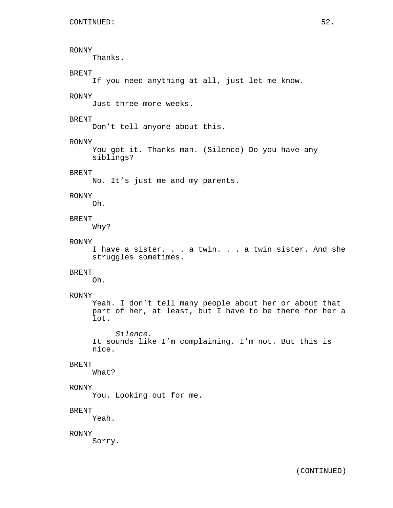## RONNY

Thanks.

# BRENT

If you need anything at all, just let me know.

## RONNY

Just three more weeks.

## BRENT

Don't tell anyone about this.

## RONNY

You got it. Thanks man. (Silence) Do you have any siblings?

# BRENT

No. It's just me and my parents.

# RONNY

Oh.

# BRENT

Why?

#### RONNY

I have a sister. . . a twin. . . a twin sister. And she struggles sometimes.

## BRENT

Oh.

#### RONNY

Yeah. I don't tell many people about her or about that part of her, at least, but I have to be there for her a lot.

*Silence.* It sounds like I'm complaining. I'm not. But this is nice.

#### BRENT

What?

## RONNY

You. Looking out for me.

## BRENT

Yeah.

#### RONNY

Sorry.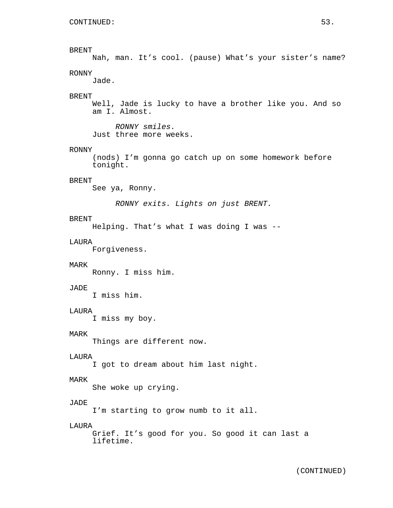Nah, man. It's cool. (pause) What's your sister's name? RONNY

Jade.

#### BRENT

Well, Jade is lucky to have a brother like you. And so am I. Almost.

*RONNY smiles.* Just three more weeks.

#### RONNY

(nods) I'm gonna go catch up on some homework before tonight.

## BRENT

See ya, Ronny.

*RONNY exits. Lights on just BRENT.*

## BRENT

Helping. That's what I was doing I was --

#### LAURA

Forgiveness.

#### MARK

Ronny. I miss him.

#### JADE

I miss him.

## LAURA

I miss my boy.

## MARK

Things are different now.

## LAURA

I got to dream about him last night.

#### MARK

She woke up crying.

#### JADE

I'm starting to grow numb to it all.

## LAURA

Grief. It's good for you. So good it can last a lifetime.